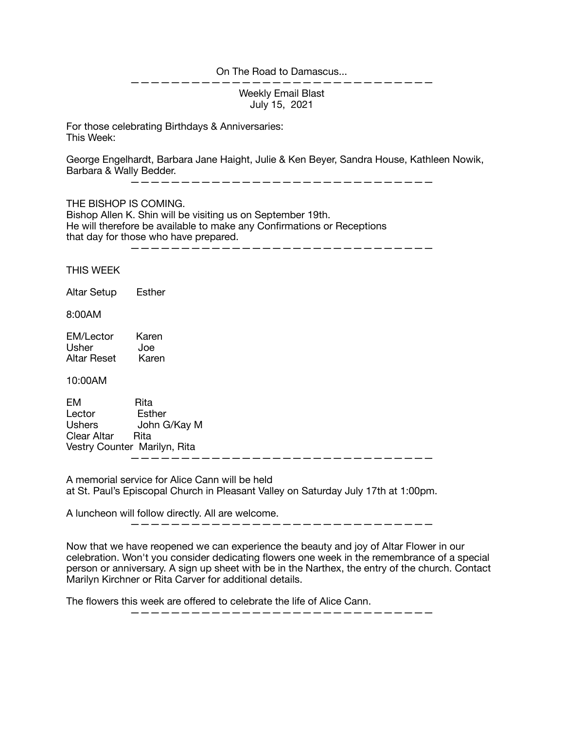On The Road to Damascus...

Weekly Email Blast July 15, 2021

 $\mathcal{L}=\mathcal{L}=\mathcal{L}=\mathcal{L}=\mathcal{L}=\mathcal{L}=\mathcal{L}=\mathcal{L}$ 

For those celebrating Birthdays & Anniversaries: This Week:

George Engelhardt, Barbara Jane Haight, Julie & Ken Beyer, Sandra House, Kathleen Nowik, Barbara & Wally Bedder.

——————————————————————————————

THE BISHOP IS COMING.

Bishop Allen K. Shin will be visiting us on September 19th. He will therefore be available to make any Confirmations or Receptions that day for those who have prepared.

——————————————————————————————

THIS WEEK

Altar Setup Esther

8:00AM

| <b>EM/Lector</b> | Karen |
|------------------|-------|
| Usher            | Joe   |
| Altar Reset      | Karen |

10:00AM

EM Rita Lector Esther Ushers John G/Kay M Clear Altar Rita Vestry Counter Marilyn, Rita ——————————————————————————————

A memorial service for Alice Cann will be held at St. Paul's Episcopal Church in Pleasant Valley on Saturday July 17th at 1:00pm.

A luncheon will follow directly. All are welcome.

——————————————————————————————

Now that we have reopened we can experience the beauty and joy of Altar Flower in our celebration. Won't you consider dedicating flowers one week in the remembrance of a special person or anniversary. A sign up sheet with be in the Narthex, the entry of the church. Contact Marilyn Kirchner or Rita Carver for additional details.

The flowers this week are offered to celebrate the life of Alice Cann.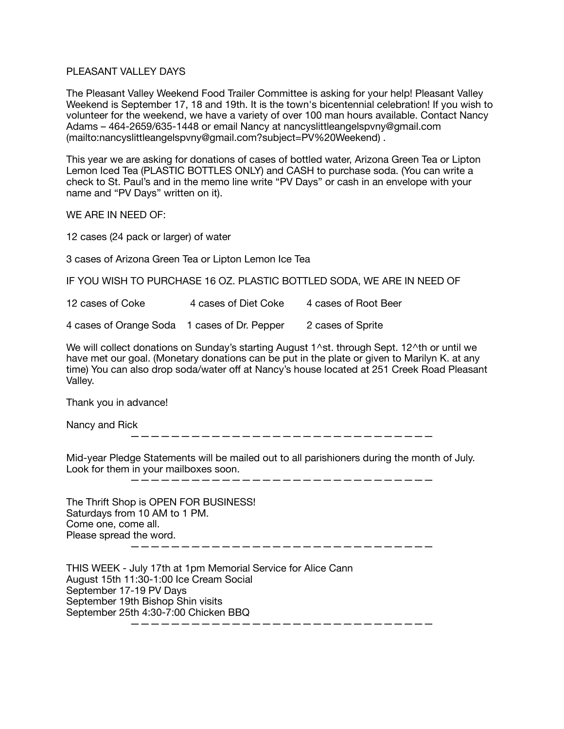## PI FASANT VALLEY DAYS

The Pleasant Valley Weekend Food Trailer Committee is asking for your help! Pleasant Valley Weekend is September 17, 18 and 19th. It is the town's bicentennial celebration! If you wish to volunteer for the weekend, we have a variety of over 100 man hours available. Contact Nancy Adams – 464-2659/635-1448 or email Nancy at nancyslittleangelspvny@gmail.com (mailto:nancyslittleangelspvny@gmail.com?subject=PV%20Weekend) .

This year we are asking for donations of cases of bottled water, Arizona Green Tea or Lipton Lemon Iced Tea (PLASTIC BOTTLES ONLY) and CASH to purchase soda. (You can write a check to St. Paul's and in the memo line write "PV Days" or cash in an envelope with your name and "PV Days" written on it).

WE ARE IN NEED OF:

12 cases (24 pack or larger) of water

3 cases of Arizona Green Tea or Lipton Lemon Ice Tea

IF YOU WISH TO PURCHASE 16 OZ. PLASTIC BOTTLED SODA, WE ARE IN NEED OF

12 cases of Coke 4 cases of Diet Coke 4 cases of Root Beer

4 cases of Orange Soda 1 cases of Dr. Pepper 2 cases of Sprite

We will collect donations on Sunday's starting August 1^st. through Sept. 12^th or until we have met our goal. (Monetary donations can be put in the plate or given to Marilyn K. at any time) You can also drop soda/water off at Nancy's house located at 251 Creek Road Pleasant Valley.

Thank you in advance!

Nancy and Rick

——————————————————————————————

Mid-year Pledge Statements will be mailed out to all parishioners during the month of July. Look for them in your mailboxes soon.

——————————————————————————————

| The Thrift Shop is OPEN FOR BUSINESS!<br>Saturdays from 10 AM to 1 PM. |  |
|------------------------------------------------------------------------|--|
| Come one, come all.                                                    |  |
| Please spread the word.                                                |  |
|                                                                        |  |

THIS WEEK - July 17th at 1pm Memorial Service for Alice Cann August 15th 11:30-1:00 Ice Cream Social September 17-19 PV Days September 19th Bishop Shin visits September 25th 4:30-7:00 Chicken BBQ ——————————————————————————————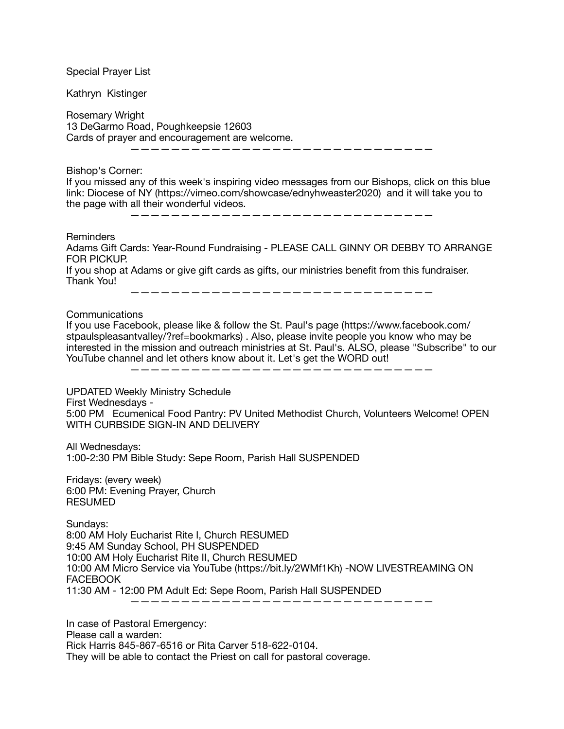| <b>Special Prayer List</b>                                                                                                                                                                                                                                                                                                                                                       |
|----------------------------------------------------------------------------------------------------------------------------------------------------------------------------------------------------------------------------------------------------------------------------------------------------------------------------------------------------------------------------------|
| Kathryn Kistinger                                                                                                                                                                                                                                                                                                                                                                |
| Rosemary Wright<br>13 DeGarmo Road, Poughkeepsie 12603<br>Cards of prayer and encouragement are welcome.                                                                                                                                                                                                                                                                         |
| Bishop's Corner:<br>If you missed any of this week's inspiring video messages from our Bishops, click on this blue<br>link: Diocese of NY (https://vimeo.com/showcase/ednyhweaster2020) and it will take you to<br>the page with all their wonderful videos.<br>------------------                                                                                               |
| <b>Reminders</b><br>Adams Gift Cards: Year-Round Fundraising - PLEASE CALL GINNY OR DEBBY TO ARRANGE<br><b>FOR PICKUP.</b><br>If you shop at Adams or give gift cards as gifts, our ministries benefit from this fundraiser.<br>Thank You!                                                                                                                                       |
| Communications<br>If you use Facebook, please like & follow the St. Paul's page (https://www.facebook.com/<br>stpaulspleasantvalley/?ref=bookmarks). Also, please invite people you know who may be<br>interested in the mission and outreach ministries at St. Paul's. ALSO, please "Subscribe" to our<br>YouTube channel and let others know about it. Let's get the WORD out! |
| <b>UPDATED Weekly Ministry Schedule</b><br>First Wednesdays -<br>5:00 PM Ecumenical Food Pantry: PV United Methodist Church, Volunteers Welcome! OPEN<br>WITH CURBSIDE SIGN-IN AND DELIVERY                                                                                                                                                                                      |
| All Wednesdays:<br>1:00-2:30 PM Bible Study: Sepe Room, Parish Hall SUSPENDED                                                                                                                                                                                                                                                                                                    |
| Fridays: (every week)<br>6:00 PM: Evening Prayer, Church<br><b>RESUMED</b>                                                                                                                                                                                                                                                                                                       |
| Sundays:<br>8:00 AM Holy Eucharist Rite I, Church RESUMED<br>9:45 AM Sunday School, PH SUSPENDED<br>10:00 AM Holy Eucharist Rite II, Church RESUMED<br>10:00 AM Micro Service via YouTube (https://bit.ly/2WMf1Kh) -NOW LIVESTREAMING ON<br><b>FACEBOOK</b><br>11:30 AM - 12:00 PM Adult Ed: Sepe Room, Parish Hall SUSPENDED                                                    |
| In case of Pastoral Emergency:<br>Please call a warden:<br>Rick Harris 845-867-6516 or Rita Carver 518-622-0104.                                                                                                                                                                                                                                                                 |

They will be able to contact the Priest on call for pastoral coverage.